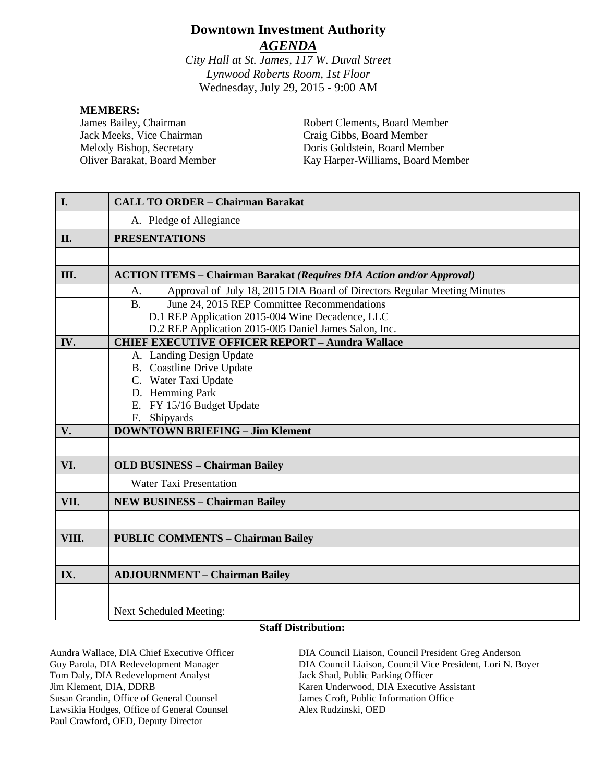# **Downtown Investment Authority** *AGENDA*

*City Hall at St. James, 117 W. Duval Street Lynwood Roberts Room, 1st Floor* Wednesday, July 29, 2015 - 9:00 AM

#### **MEMBERS:**

James Bailey, Chairman Jack Meeks, Vice Chairman Melody Bishop, Secretary Oliver Barakat, Board Member

Robert Clements, Board Member Craig Gibbs, Board Member Doris Goldstein, Board Member Kay Harper-Williams, Board Member

| A. Pledge of Allegiance<br><b>PRESENTATIONS</b><br>II.<br>III.<br><b>ACTION ITEMS – Chairman Barakat (Requires DIA Action and/or Approval)</b><br>Approval of July 18, 2015 DIA Board of Directors Regular Meeting Minutes<br>A.<br>June 24, 2015 REP Committee Recommendations<br>B <sub>1</sub><br>D.1 REP Application 2015-004 Wine Decadence, LLC<br>D.2 REP Application 2015-005 Daniel James Salon, Inc.<br>IV.<br><b>CHIEF EXECUTIVE OFFICER REPORT - Aundra Wallace</b><br>A. Landing Design Update<br><b>B.</b> Coastline Drive Update<br>C. Water Taxi Update<br>D. Hemming Park<br>E. FY 15/16 Budget Update<br>F. Shipyards | I. | <b>CALL TO ORDER - Chairman Barakat</b> |
|-----------------------------------------------------------------------------------------------------------------------------------------------------------------------------------------------------------------------------------------------------------------------------------------------------------------------------------------------------------------------------------------------------------------------------------------------------------------------------------------------------------------------------------------------------------------------------------------------------------------------------------------|----|-----------------------------------------|
|                                                                                                                                                                                                                                                                                                                                                                                                                                                                                                                                                                                                                                         |    |                                         |
|                                                                                                                                                                                                                                                                                                                                                                                                                                                                                                                                                                                                                                         |    |                                         |
|                                                                                                                                                                                                                                                                                                                                                                                                                                                                                                                                                                                                                                         |    |                                         |
|                                                                                                                                                                                                                                                                                                                                                                                                                                                                                                                                                                                                                                         |    |                                         |
|                                                                                                                                                                                                                                                                                                                                                                                                                                                                                                                                                                                                                                         |    |                                         |
|                                                                                                                                                                                                                                                                                                                                                                                                                                                                                                                                                                                                                                         |    |                                         |
|                                                                                                                                                                                                                                                                                                                                                                                                                                                                                                                                                                                                                                         |    |                                         |
|                                                                                                                                                                                                                                                                                                                                                                                                                                                                                                                                                                                                                                         |    |                                         |
|                                                                                                                                                                                                                                                                                                                                                                                                                                                                                                                                                                                                                                         |    |                                         |
|                                                                                                                                                                                                                                                                                                                                                                                                                                                                                                                                                                                                                                         |    |                                         |
|                                                                                                                                                                                                                                                                                                                                                                                                                                                                                                                                                                                                                                         |    |                                         |
|                                                                                                                                                                                                                                                                                                                                                                                                                                                                                                                                                                                                                                         |    |                                         |
|                                                                                                                                                                                                                                                                                                                                                                                                                                                                                                                                                                                                                                         |    |                                         |
|                                                                                                                                                                                                                                                                                                                                                                                                                                                                                                                                                                                                                                         |    |                                         |
|                                                                                                                                                                                                                                                                                                                                                                                                                                                                                                                                                                                                                                         |    |                                         |
|                                                                                                                                                                                                                                                                                                                                                                                                                                                                                                                                                                                                                                         | V. | <b>DOWNTOWN BRIEFING - Jim Klement</b>  |
|                                                                                                                                                                                                                                                                                                                                                                                                                                                                                                                                                                                                                                         |    |                                         |
| VI.<br><b>OLD BUSINESS - Chairman Bailey</b>                                                                                                                                                                                                                                                                                                                                                                                                                                                                                                                                                                                            |    |                                         |
| <b>Water Taxi Presentation</b>                                                                                                                                                                                                                                                                                                                                                                                                                                                                                                                                                                                                          |    |                                         |
| VII.<br><b>NEW BUSINESS - Chairman Bailey</b>                                                                                                                                                                                                                                                                                                                                                                                                                                                                                                                                                                                           |    |                                         |
|                                                                                                                                                                                                                                                                                                                                                                                                                                                                                                                                                                                                                                         |    |                                         |
| VIII.<br><b>PUBLIC COMMENTS - Chairman Bailey</b>                                                                                                                                                                                                                                                                                                                                                                                                                                                                                                                                                                                       |    |                                         |
|                                                                                                                                                                                                                                                                                                                                                                                                                                                                                                                                                                                                                                         |    |                                         |
| IX.<br><b>ADJOURNMENT - Chairman Bailey</b>                                                                                                                                                                                                                                                                                                                                                                                                                                                                                                                                                                                             |    |                                         |
|                                                                                                                                                                                                                                                                                                                                                                                                                                                                                                                                                                                                                                         |    |                                         |
| Next Scheduled Meeting:                                                                                                                                                                                                                                                                                                                                                                                                                                                                                                                                                                                                                 |    |                                         |

#### **Staff Distribution:**

Tom Daly, DIA Redevelopment Analyst Jack Shad, Public Parking Officer Jim Klement, DIA, DDRB Karen Underwood, DIA Executive Assistant Susan Grandin, Office of General Counsel James Croft, Public Information Office Lawsikia Hodges, Office of General Counsel Alex Rudzinski, OED Paul Crawford, OED, Deputy Director

Aundra Wallace, DIA Chief Executive Officer DIA Council Liaison, Council President Greg Anderson Guy Parola, DIA Redevelopment Manager DIA Council Liaison, Council Vice President, Lori N. Boyer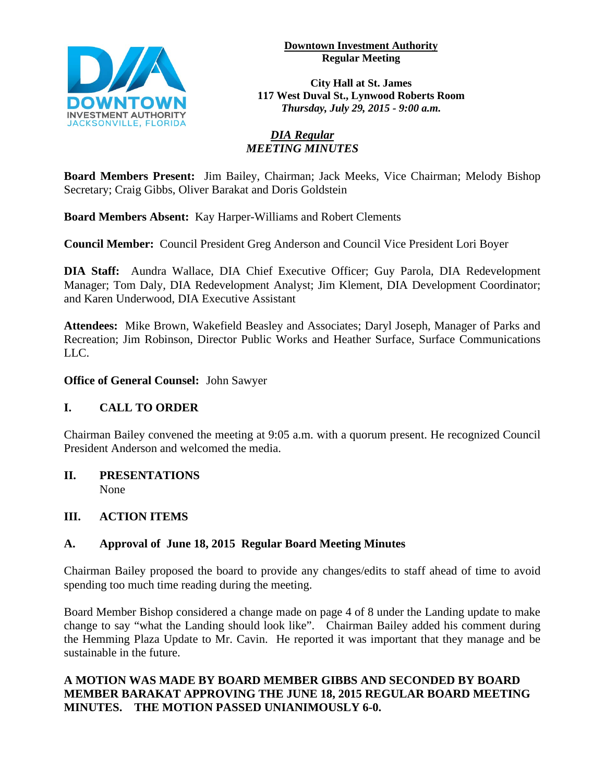



**City Hall at St. James 117 West Duval St., Lynwood Roberts Room** *Thursday, July 29, 2015 - 9:00 a.m.*

# *DIA Regular MEETING MINUTES*

**Board Members Present:** Jim Bailey, Chairman; Jack Meeks, Vice Chairman; Melody Bishop Secretary; Craig Gibbs, Oliver Barakat and Doris Goldstein

**Board Members Absent:** Kay Harper-Williams and Robert Clements

**Council Member:** Council President Greg Anderson and Council Vice President Lori Boyer

**DIA Staff:** Aundra Wallace, DIA Chief Executive Officer; Guy Parola, DIA Redevelopment Manager; Tom Daly, DIA Redevelopment Analyst; Jim Klement, DIA Development Coordinator; and Karen Underwood, DIA Executive Assistant

**Attendees:** Mike Brown, Wakefield Beasley and Associates; Daryl Joseph, Manager of Parks and Recreation; Jim Robinson, Director Public Works and Heather Surface, Surface Communications LLC.

# **Office of General Counsel:** John Sawyer

# **I. CALL TO ORDER**

Chairman Bailey convened the meeting at 9:05 a.m. with a quorum present. He recognized Council President Anderson and welcomed the media.

#### **II. PRESENTATIONS**  None

# **III. ACTION ITEMS**

# **A. Approval of June 18, 2015 Regular Board Meeting Minutes**

Chairman Bailey proposed the board to provide any changes/edits to staff ahead of time to avoid spending too much time reading during the meeting.

Board Member Bishop considered a change made on page 4 of 8 under the Landing update to make change to say "what the Landing should look like". Chairman Bailey added his comment during the Hemming Plaza Update to Mr. Cavin. He reported it was important that they manage and be sustainable in the future.

# **A MOTION WAS MADE BY BOARD MEMBER GIBBS AND SECONDED BY BOARD MEMBER BARAKAT APPROVING THE JUNE 18, 2015 REGULAR BOARD MEETING MINUTES. THE MOTION PASSED UNIANIMOUSLY 6-0.**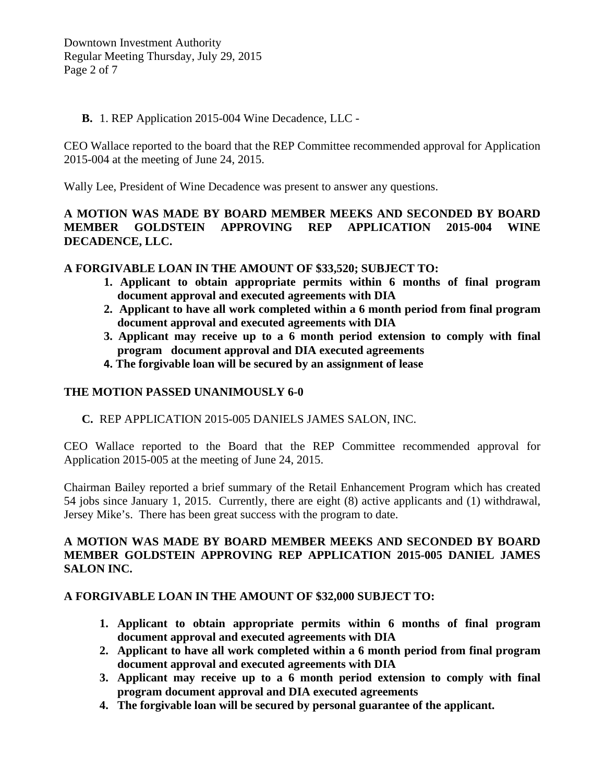#### **B.** 1. REP Application 2015-004 Wine Decadence, LLC -

CEO Wallace reported to the board that the REP Committee recommended approval for Application 2015-004 at the meeting of June 24, 2015.

Wally Lee, President of Wine Decadence was present to answer any questions.

# **A MOTION WAS MADE BY BOARD MEMBER MEEKS AND SECONDED BY BOARD MEMBER GOLDSTEIN APPROVING REP APPLICATION 2015-004 WINE DECADENCE, LLC.**

### **A FORGIVABLE LOAN IN THE AMOUNT OF \$33,520; SUBJECT TO:**

- **1. Applicant to obtain appropriate permits within 6 months of final program document approval and executed agreements with DIA**
- **2. Applicant to have all work completed within a 6 month period from final program document approval and executed agreements with DIA**
- **3. Applicant may receive up to a 6 month period extension to comply with final program document approval and DIA executed agreements**
- **4. The forgivable loan will be secured by an assignment of lease**

# **THE MOTION PASSED UNANIMOUSLY 6-0**

**C.** REP APPLICATION 2015-005 DANIELS JAMES SALON, INC.

CEO Wallace reported to the Board that the REP Committee recommended approval for Application 2015-005 at the meeting of June 24, 2015.

Chairman Bailey reported a brief summary of the Retail Enhancement Program which has created 54 jobs since January 1, 2015. Currently, there are eight (8) active applicants and (1) withdrawal, Jersey Mike's. There has been great success with the program to date.

### **A MOTION WAS MADE BY BOARD MEMBER MEEKS AND SECONDED BY BOARD MEMBER GOLDSTEIN APPROVING REP APPLICATION 2015-005 DANIEL JAMES SALON INC.**

# **A FORGIVABLE LOAN IN THE AMOUNT OF \$32,000 SUBJECT TO:**

- **1. Applicant to obtain appropriate permits within 6 months of final program document approval and executed agreements with DIA**
- **2. Applicant to have all work completed within a 6 month period from final program document approval and executed agreements with DIA**
- **3. Applicant may receive up to a 6 month period extension to comply with final program document approval and DIA executed agreements**
- **4. The forgivable loan will be secured by personal guarantee of the applicant.**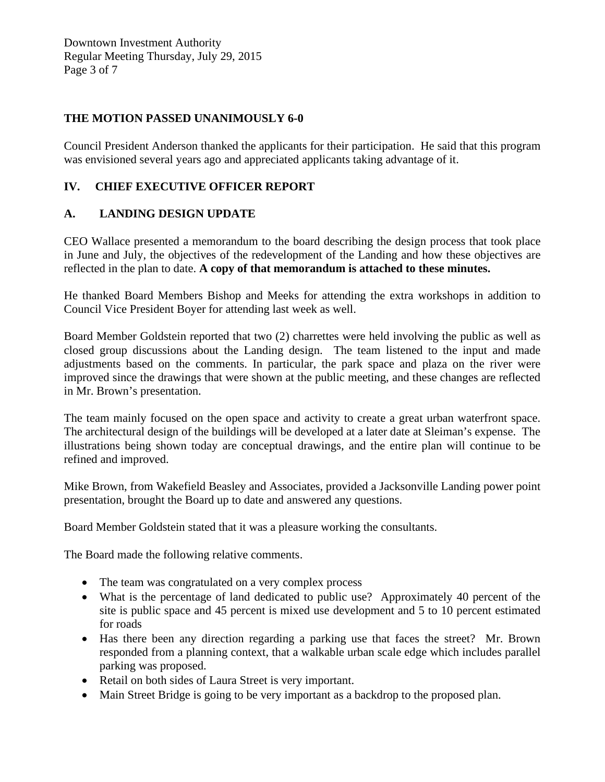Downtown Investment Authority Regular Meeting Thursday, July 29, 2015 Page 3 of 7

### **THE MOTION PASSED UNANIMOUSLY 6-0**

Council President Anderson thanked the applicants for their participation. He said that this program was envisioned several years ago and appreciated applicants taking advantage of it.

### **IV. CHIEF EXECUTIVE OFFICER REPORT**

### **A. LANDING DESIGN UPDATE**

CEO Wallace presented a memorandum to the board describing the design process that took place in June and July, the objectives of the redevelopment of the Landing and how these objectives are reflected in the plan to date. **A copy of that memorandum is attached to these minutes.**

He thanked Board Members Bishop and Meeks for attending the extra workshops in addition to Council Vice President Boyer for attending last week as well.

Board Member Goldstein reported that two (2) charrettes were held involving the public as well as closed group discussions about the Landing design. The team listened to the input and made adjustments based on the comments. In particular, the park space and plaza on the river were improved since the drawings that were shown at the public meeting, and these changes are reflected in Mr. Brown's presentation.

The team mainly focused on the open space and activity to create a great urban waterfront space. The architectural design of the buildings will be developed at a later date at Sleiman's expense. The illustrations being shown today are conceptual drawings, and the entire plan will continue to be refined and improved.

Mike Brown, from Wakefield Beasley and Associates, provided a Jacksonville Landing power point presentation, brought the Board up to date and answered any questions.

Board Member Goldstein stated that it was a pleasure working the consultants.

The Board made the following relative comments.

- The team was congratulated on a very complex process
- What is the percentage of land dedicated to public use? Approximately 40 percent of the site is public space and 45 percent is mixed use development and 5 to 10 percent estimated for roads
- Has there been any direction regarding a parking use that faces the street? Mr. Brown responded from a planning context, that a walkable urban scale edge which includes parallel parking was proposed.
- Retail on both sides of Laura Street is very important.
- Main Street Bridge is going to be very important as a backdrop to the proposed plan.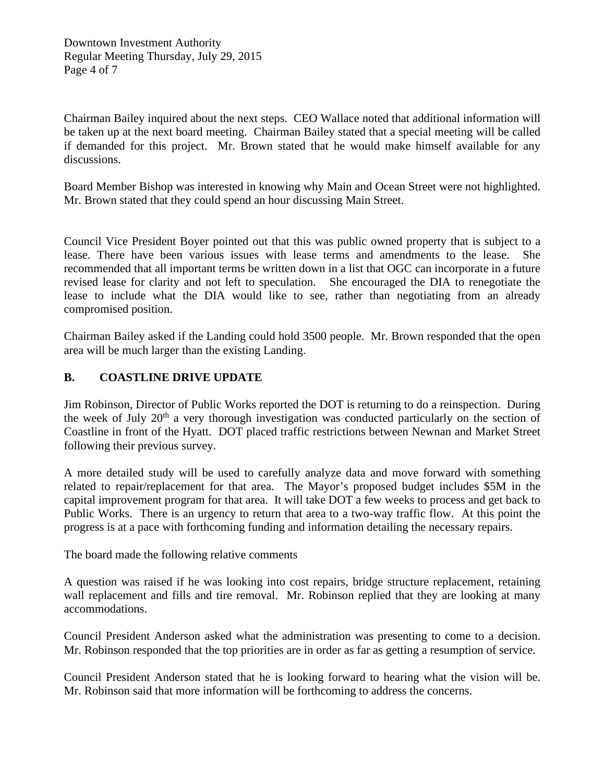Downtown Investment Authority Regular Meeting Thursday, July 29, 2015 Page 4 of 7

Chairman Bailey inquired about the next steps. CEO Wallace noted that additional information will be taken up at the next board meeting. Chairman Bailey stated that a special meeting will be called if demanded for this project. Mr. Brown stated that he would make himself available for any discussions.

Board Member Bishop was interested in knowing why Main and Ocean Street were not highlighted. Mr. Brown stated that they could spend an hour discussing Main Street.

Council Vice President Boyer pointed out that this was public owned property that is subject to a lease. There have been various issues with lease terms and amendments to the lease. She recommended that all important terms be written down in a list that OGC can incorporate in a future revised lease for clarity and not left to speculation. She encouraged the DIA to renegotiate the lease to include what the DIA would like to see, rather than negotiating from an already compromised position.

Chairman Bailey asked if the Landing could hold 3500 people. Mr. Brown responded that the open area will be much larger than the existing Landing.

# **B. COASTLINE DRIVE UPDATE**

Jim Robinson, Director of Public Works reported the DOT is returning to do a reinspection. During the week of July  $20<sup>th</sup>$  a very thorough investigation was conducted particularly on the section of Coastline in front of the Hyatt. DOT placed traffic restrictions between Newnan and Market Street following their previous survey.

A more detailed study will be used to carefully analyze data and move forward with something related to repair/replacement for that area. The Mayor's proposed budget includes \$5M in the capital improvement program for that area. It will take DOT a few weeks to process and get back to Public Works. There is an urgency to return that area to a two-way traffic flow. At this point the progress is at a pace with forthcoming funding and information detailing the necessary repairs.

The board made the following relative comments

A question was raised if he was looking into cost repairs, bridge structure replacement, retaining wall replacement and fills and tire removal. Mr. Robinson replied that they are looking at many accommodations.

Council President Anderson asked what the administration was presenting to come to a decision. Mr. Robinson responded that the top priorities are in order as far as getting a resumption of service.

Council President Anderson stated that he is looking forward to hearing what the vision will be. Mr. Robinson said that more information will be forthcoming to address the concerns.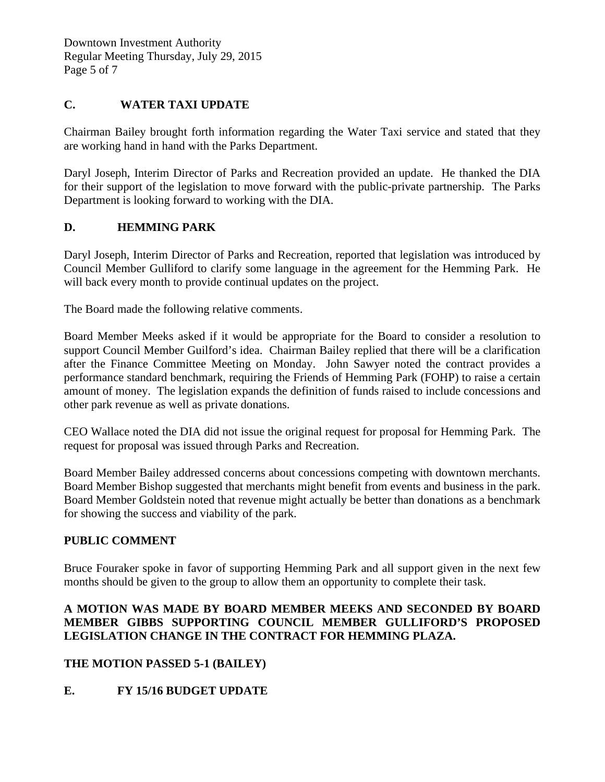Downtown Investment Authority Regular Meeting Thursday, July 29, 2015 Page 5 of 7

# **C. WATER TAXI UPDATE**

Chairman Bailey brought forth information regarding the Water Taxi service and stated that they are working hand in hand with the Parks Department.

Daryl Joseph, Interim Director of Parks and Recreation provided an update. He thanked the DIA for their support of the legislation to move forward with the public-private partnership. The Parks Department is looking forward to working with the DIA.

### **D. HEMMING PARK**

Daryl Joseph, Interim Director of Parks and Recreation, reported that legislation was introduced by Council Member Gulliford to clarify some language in the agreement for the Hemming Park. He will back every month to provide continual updates on the project.

The Board made the following relative comments.

Board Member Meeks asked if it would be appropriate for the Board to consider a resolution to support Council Member Guilford's idea. Chairman Bailey replied that there will be a clarification after the Finance Committee Meeting on Monday. John Sawyer noted the contract provides a performance standard benchmark, requiring the Friends of Hemming Park (FOHP) to raise a certain amount of money. The legislation expands the definition of funds raised to include concessions and other park revenue as well as private donations.

CEO Wallace noted the DIA did not issue the original request for proposal for Hemming Park. The request for proposal was issued through Parks and Recreation.

Board Member Bailey addressed concerns about concessions competing with downtown merchants. Board Member Bishop suggested that merchants might benefit from events and business in the park. Board Member Goldstein noted that revenue might actually be better than donations as a benchmark for showing the success and viability of the park.

#### **PUBLIC COMMENT**

Bruce Fouraker spoke in favor of supporting Hemming Park and all support given in the next few months should be given to the group to allow them an opportunity to complete their task.

# **A MOTION WAS MADE BY BOARD MEMBER MEEKS AND SECONDED BY BOARD MEMBER GIBBS SUPPORTING COUNCIL MEMBER GULLIFORD'S PROPOSED LEGISLATION CHANGE IN THE CONTRACT FOR HEMMING PLAZA.**

# **THE MOTION PASSED 5-1 (BAILEY)**

# **E. FY 15/16 BUDGET UPDATE**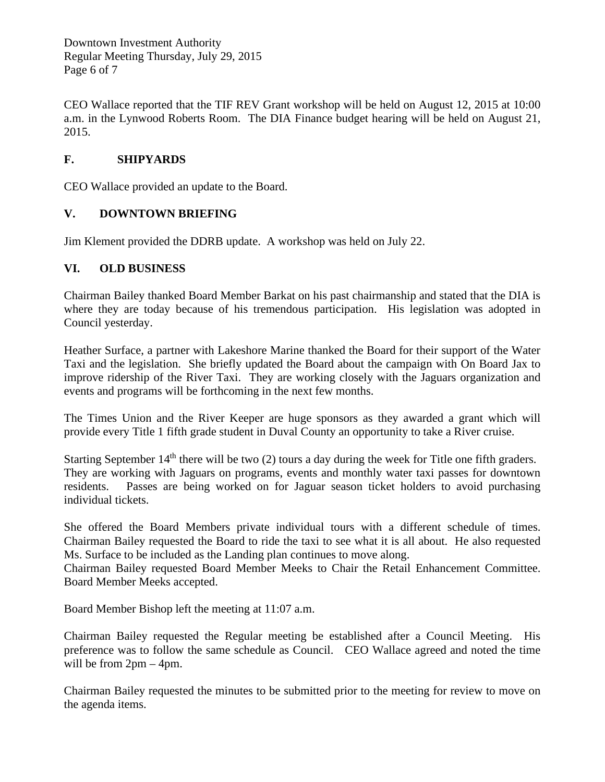Downtown Investment Authority Regular Meeting Thursday, July 29, 2015 Page 6 of 7

CEO Wallace reported that the TIF REV Grant workshop will be held on August 12, 2015 at 10:00 a.m. in the Lynwood Roberts Room. The DIA Finance budget hearing will be held on August 21, 2015.

# **F. SHIPYARDS**

CEO Wallace provided an update to the Board.

# **V. DOWNTOWN BRIEFING**

Jim Klement provided the DDRB update. A workshop was held on July 22.

# **VI. OLD BUSINESS**

Chairman Bailey thanked Board Member Barkat on his past chairmanship and stated that the DIA is where they are today because of his tremendous participation. His legislation was adopted in Council yesterday.

Heather Surface, a partner with Lakeshore Marine thanked the Board for their support of the Water Taxi and the legislation. She briefly updated the Board about the campaign with On Board Jax to improve ridership of the River Taxi. They are working closely with the Jaguars organization and events and programs will be forthcoming in the next few months.

The Times Union and the River Keeper are huge sponsors as they awarded a grant which will provide every Title 1 fifth grade student in Duval County an opportunity to take a River cruise.

Starting September 14<sup>th</sup> there will be two (2) tours a day during the week for Title one fifth graders. They are working with Jaguars on programs, events and monthly water taxi passes for downtown residents. Passes are being worked on for Jaguar season ticket holders to avoid purchasing individual tickets.

She offered the Board Members private individual tours with a different schedule of times. Chairman Bailey requested the Board to ride the taxi to see what it is all about. He also requested Ms. Surface to be included as the Landing plan continues to move along.

Chairman Bailey requested Board Member Meeks to Chair the Retail Enhancement Committee. Board Member Meeks accepted.

Board Member Bishop left the meeting at 11:07 a.m.

Chairman Bailey requested the Regular meeting be established after a Council Meeting. His preference was to follow the same schedule as Council. CEO Wallace agreed and noted the time will be from 2pm – 4pm.

Chairman Bailey requested the minutes to be submitted prior to the meeting for review to move on the agenda items.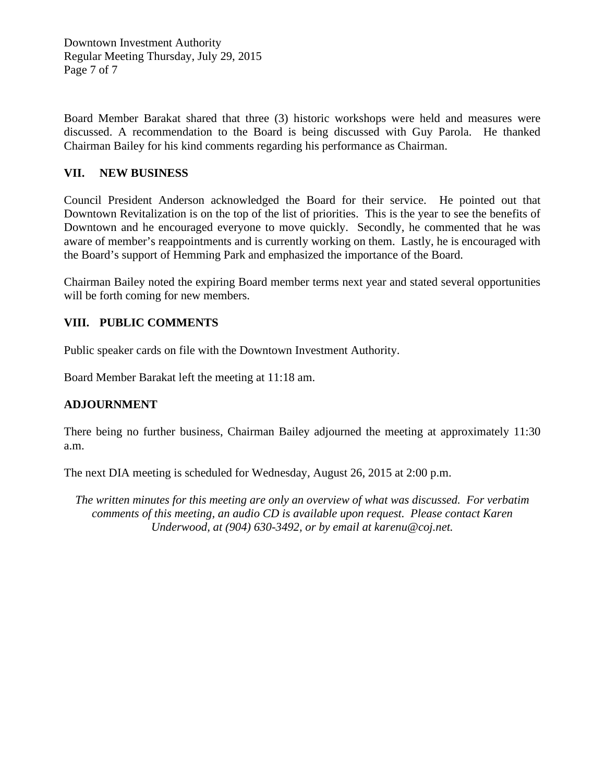Downtown Investment Authority Regular Meeting Thursday, July 29, 2015 Page 7 of 7

Board Member Barakat shared that three (3) historic workshops were held and measures were discussed. A recommendation to the Board is being discussed with Guy Parola. He thanked Chairman Bailey for his kind comments regarding his performance as Chairman.

# **VII. NEW BUSINESS**

Council President Anderson acknowledged the Board for their service. He pointed out that Downtown Revitalization is on the top of the list of priorities. This is the year to see the benefits of Downtown and he encouraged everyone to move quickly. Secondly, he commented that he was aware of member's reappointments and is currently working on them. Lastly, he is encouraged with the Board's support of Hemming Park and emphasized the importance of the Board.

Chairman Bailey noted the expiring Board member terms next year and stated several opportunities will be forth coming for new members.

# **VIII. PUBLIC COMMENTS**

Public speaker cards on file with the Downtown Investment Authority.

Board Member Barakat left the meeting at 11:18 am.

# **ADJOURNMENT**

There being no further business, Chairman Bailey adjourned the meeting at approximately 11:30 a.m.

The next DIA meeting is scheduled for Wednesday, August 26, 2015 at 2:00 p.m.

*The written minutes for this meeting are only an overview of what was discussed. For verbatim comments of this meeting, an audio CD is available upon request. Please contact Karen Underwood, at (904) 630-3492, or by email at karenu@coj.net.*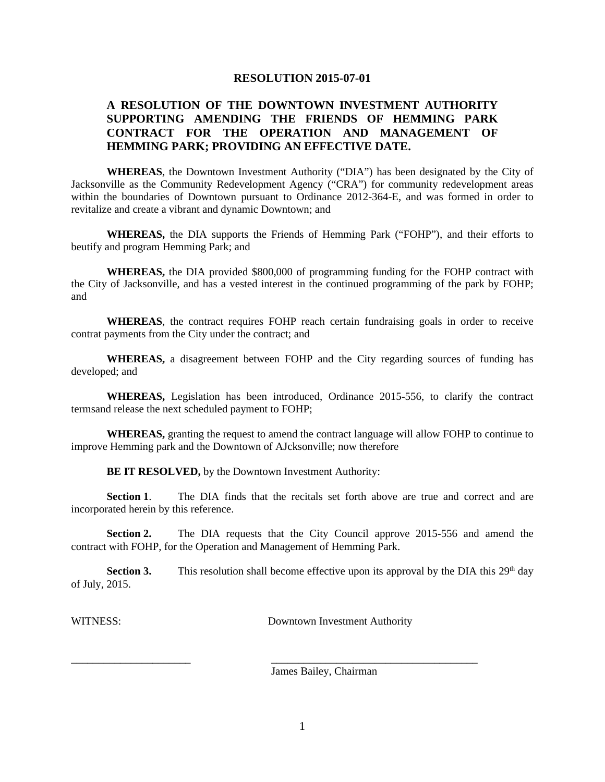#### **RESOLUTION 2015-07-01**

### **A RESOLUTION OF THE DOWNTOWN INVESTMENT AUTHORITY SUPPORTING AMENDING THE FRIENDS OF HEMMING PARK CONTRACT FOR THE OPERATION AND MANAGEMENT OF HEMMING PARK; PROVIDING AN EFFECTIVE DATE.**

**WHEREAS**, the Downtown Investment Authority ("DIA") has been designated by the City of Jacksonville as the Community Redevelopment Agency ("CRA") for community redevelopment areas within the boundaries of Downtown pursuant to Ordinance 2012-364-E, and was formed in order to revitalize and create a vibrant and dynamic Downtown; and

**WHEREAS,** the DIA supports the Friends of Hemming Park ("FOHP"), and their efforts to beutify and program Hemming Park; and

**WHEREAS,** the DIA provided \$800,000 of programming funding for the FOHP contract with the City of Jacksonville, and has a vested interest in the continued programming of the park by FOHP; and

**WHEREAS**, the contract requires FOHP reach certain fundraising goals in order to receive contrat payments from the City under the contract; and

**WHEREAS,** a disagreement between FOHP and the City regarding sources of funding has developed; and

**WHEREAS,** Legislation has been introduced, Ordinance 2015-556, to clarify the contract termsand release the next scheduled payment to FOHP;

**WHEREAS,** granting the request to amend the contract language will allow FOHP to continue to improve Hemming park and the Downtown of AJcksonville; now therefore

**BE IT RESOLVED,** by the Downtown Investment Authority:

**Section 1.** The DIA finds that the recitals set forth above are true and correct and are incorporated herein by this reference.

**Section 2.** The DIA requests that the City Council approve 2015-556 and amend the contract with FOHP, for the Operation and Management of Hemming Park.

**Section 3.** This resolution shall become effective upon its approval by the DIA this  $29<sup>th</sup>$  day of July, 2015.

WITNESS: Downtown Investment Authority

James Bailey, Chairman

\_\_\_\_\_\_\_\_\_\_\_\_\_\_\_\_\_\_\_\_\_\_ \_\_\_\_\_\_\_\_\_\_\_\_\_\_\_\_\_\_\_\_\_\_\_\_\_\_\_\_\_\_\_\_\_\_\_\_\_\_